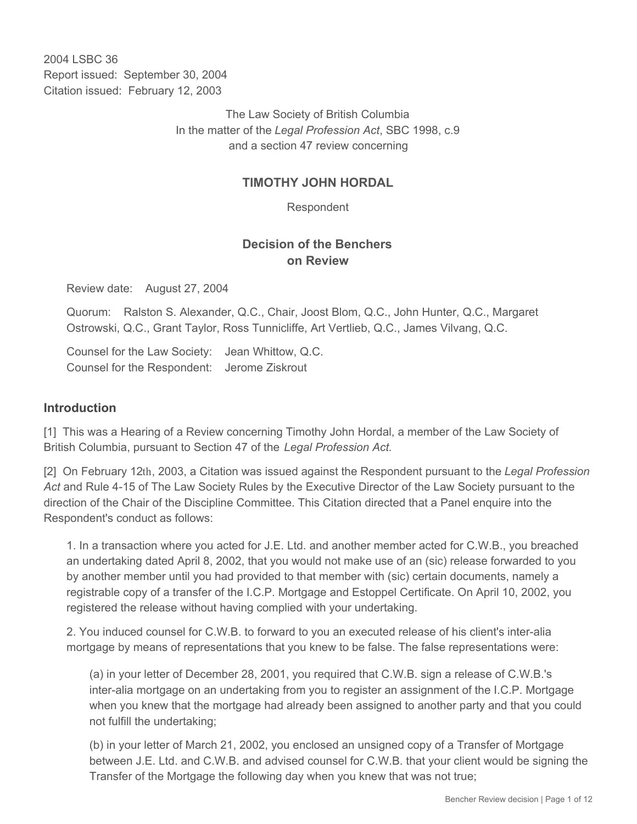2004 LSBC 36 Report issued: September 30, 2004 Citation issued: February 12, 2003

> The Law Society of British Columbia In the matter of the *Legal Profession Act*, SBC 1998, c.9 and a section 47 review concerning

## **TIMOTHY JOHN HORDAL**

Respondent

# **Decision of the Benchers on Review**

Review date: August 27, 2004

Quorum: Ralston S. Alexander, Q.C., Chair, Joost Blom, Q.C., John Hunter, Q.C., Margaret Ostrowski, Q.C., Grant Taylor, Ross Tunnicliffe, Art Vertlieb, Q.C., James Vilvang, Q.C.

Counsel for the Law Society: Jean Whittow, Q.C. Counsel for the Respondent: Jerome Ziskrout

#### **Introduction**

[1] This was a Hearing of a Review concerning Timothy John Hordal, a member of the Law Society of British Columbia, pursuant to Section 47 of the *Legal Profession Act.*

[2] On February 12th, 2003, a Citation was issued against the Respondent pursuant to the *Legal Profession Act* and Rule 4-15 of The Law Society Rules by the Executive Director of the Law Society pursuant to the direction of the Chair of the Discipline Committee. This Citation directed that a Panel enquire into the Respondent's conduct as follows:

1. In a transaction where you acted for J.E. Ltd. and another member acted for C.W.B., you breached an undertaking dated April 8, 2002, that you would not make use of an (sic) release forwarded to you by another member until you had provided to that member with (sic) certain documents, namely a registrable copy of a transfer of the I.C.P. Mortgage and Estoppel Certificate. On April 10, 2002, you registered the release without having complied with your undertaking.

2. You induced counsel for C.W.B. to forward to you an executed release of his client's inter-alia mortgage by means of representations that you knew to be false. The false representations were:

(a) in your letter of December 28, 2001, you required that C.W.B. sign a release of C.W.B.'s inter-alia mortgage on an undertaking from you to register an assignment of the I.C.P. Mortgage when you knew that the mortgage had already been assigned to another party and that you could not fulfill the undertaking;

(b) in your letter of March 21, 2002, you enclosed an unsigned copy of a Transfer of Mortgage between J.E. Ltd. and C.W.B. and advised counsel for C.W.B. that your client would be signing the Transfer of the Mortgage the following day when you knew that was not true;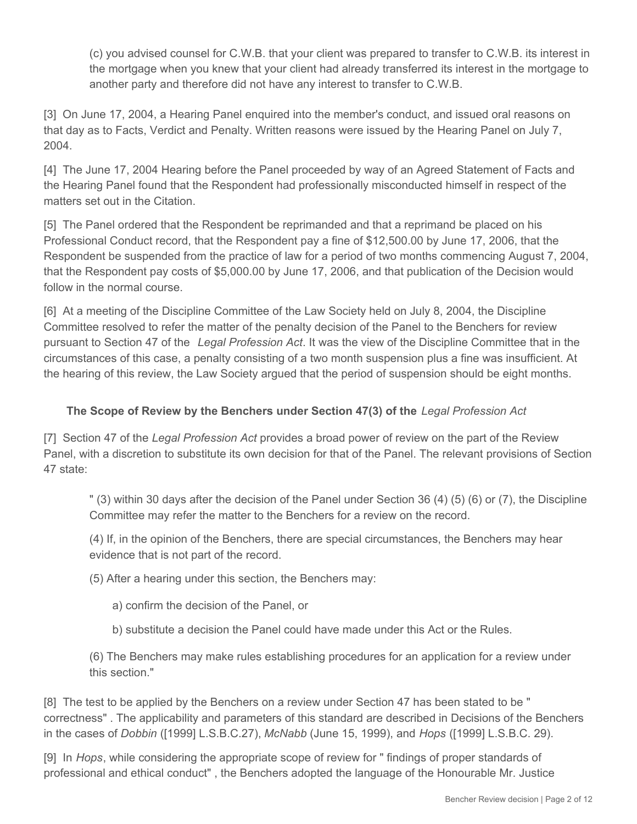(c) you advised counsel for C.W.B. that your client was prepared to transfer to C.W.B. its interest in the mortgage when you knew that your client had already transferred its interest in the mortgage to another party and therefore did not have any interest to transfer to C.W.B.

[3] On June 17, 2004, a Hearing Panel enquired into the member's conduct, and issued oral reasons on that day as to Facts, Verdict and Penalty. Written reasons were issued by the Hearing Panel on July 7, 2004.

[4] The June 17, 2004 Hearing before the Panel proceeded by way of an Agreed Statement of Facts and the Hearing Panel found that the Respondent had professionally misconducted himself in respect of the matters set out in the Citation.

[5] The Panel ordered that the Respondent be reprimanded and that a reprimand be placed on his Professional Conduct record, that the Respondent pay a fine of \$12,500.00 by June 17, 2006, that the Respondent be suspended from the practice of law for a period of two months commencing August 7, 2004, that the Respondent pay costs of \$5,000.00 by June 17, 2006, and that publication of the Decision would follow in the normal course.

[6] At a meeting of the Discipline Committee of the Law Society held on July 8, 2004, the Discipline Committee resolved to refer the matter of the penalty decision of the Panel to the Benchers for review pursuant to Section 47 of the *Legal Profession Act*. It was the view of the Discipline Committee that in the circumstances of this case, a penalty consisting of a two month suspension plus a fine was insufficient. At the hearing of this review, the Law Society argued that the period of suspension should be eight months.

## **The Scope of Review by the Benchers under Section 47(3) of the** *Legal Profession Act*

[7] Section 47 of the *Legal Profession Act* provides a broad power of review on the part of the Review Panel, with a discretion to substitute its own decision for that of the Panel. The relevant provisions of Section 47 state:

" (3) within 30 days after the decision of the Panel under Section 36 (4) (5) (6) or (7), the Discipline Committee may refer the matter to the Benchers for a review on the record.

(4) If, in the opinion of the Benchers, there are special circumstances, the Benchers may hear evidence that is not part of the record.

(5) After a hearing under this section, the Benchers may:

a) confirm the decision of the Panel, or

b) substitute a decision the Panel could have made under this Act or the Rules.

(6) The Benchers may make rules establishing procedures for an application for a review under this section."

[8] The test to be applied by the Benchers on a review under Section 47 has been stated to be " correctness" . The applicability and parameters of this standard are described in Decisions of the Benchers in the cases of *Dobbin* ([1999] L.S.B.C.27), *McNabb* (June 15, 1999), and *Hops* ([1999] L.S.B.C. 29).

[9] In *Hops*, while considering the appropriate scope of review for " findings of proper standards of professional and ethical conduct" , the Benchers adopted the language of the Honourable Mr. Justice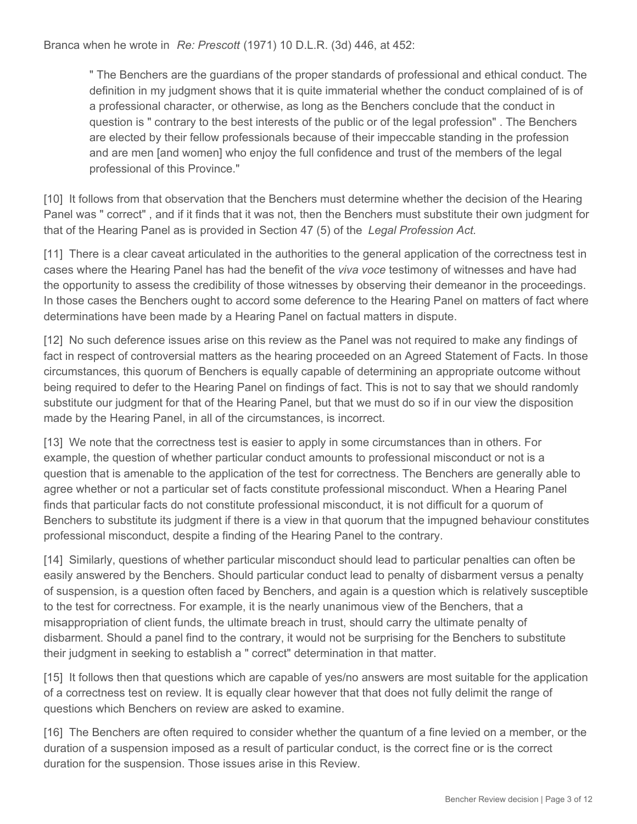Branca when he wrote in *Re: Prescott* (1971) 10 D.L.R. (3d) 446, at 452:

" The Benchers are the guardians of the proper standards of professional and ethical conduct. The definition in my judgment shows that it is quite immaterial whether the conduct complained of is of a professional character, or otherwise, as long as the Benchers conclude that the conduct in question is " contrary to the best interests of the public or of the legal profession" . The Benchers are elected by their fellow professionals because of their impeccable standing in the profession and are men [and women] who enjoy the full confidence and trust of the members of the legal professional of this Province."

[10] It follows from that observation that the Benchers must determine whether the decision of the Hearing Panel was " correct" , and if it finds that it was not, then the Benchers must substitute their own judgment for that of the Hearing Panel as is provided in Section 47 (5) of the *Legal Profession Act.*

[11] There is a clear caveat articulated in the authorities to the general application of the correctness test in cases where the Hearing Panel has had the benefit of the *viva voce* testimony of witnesses and have had the opportunity to assess the credibility of those witnesses by observing their demeanor in the proceedings. In those cases the Benchers ought to accord some deference to the Hearing Panel on matters of fact where determinations have been made by a Hearing Panel on factual matters in dispute.

[12] No such deference issues arise on this review as the Panel was not required to make any findings of fact in respect of controversial matters as the hearing proceeded on an Agreed Statement of Facts. In those circumstances, this quorum of Benchers is equally capable of determining an appropriate outcome without being required to defer to the Hearing Panel on findings of fact. This is not to say that we should randomly substitute our judgment for that of the Hearing Panel, but that we must do so if in our view the disposition made by the Hearing Panel, in all of the circumstances, is incorrect.

[13] We note that the correctness test is easier to apply in some circumstances than in others. For example, the question of whether particular conduct amounts to professional misconduct or not is a question that is amenable to the application of the test for correctness. The Benchers are generally able to agree whether or not a particular set of facts constitute professional misconduct. When a Hearing Panel finds that particular facts do not constitute professional misconduct, it is not difficult for a quorum of Benchers to substitute its judgment if there is a view in that quorum that the impugned behaviour constitutes professional misconduct, despite a finding of the Hearing Panel to the contrary.

[14] Similarly, questions of whether particular misconduct should lead to particular penalties can often be easily answered by the Benchers. Should particular conduct lead to penalty of disbarment versus a penalty of suspension, is a question often faced by Benchers, and again is a question which is relatively susceptible to the test for correctness. For example, it is the nearly unanimous view of the Benchers, that a misappropriation of client funds, the ultimate breach in trust, should carry the ultimate penalty of disbarment. Should a panel find to the contrary, it would not be surprising for the Benchers to substitute their judgment in seeking to establish a " correct" determination in that matter.

[15] It follows then that questions which are capable of yes/no answers are most suitable for the application of a correctness test on review. It is equally clear however that that does not fully delimit the range of questions which Benchers on review are asked to examine.

[16] The Benchers are often required to consider whether the quantum of a fine levied on a member, or the duration of a suspension imposed as a result of particular conduct, is the correct fine or is the correct duration for the suspension. Those issues arise in this Review.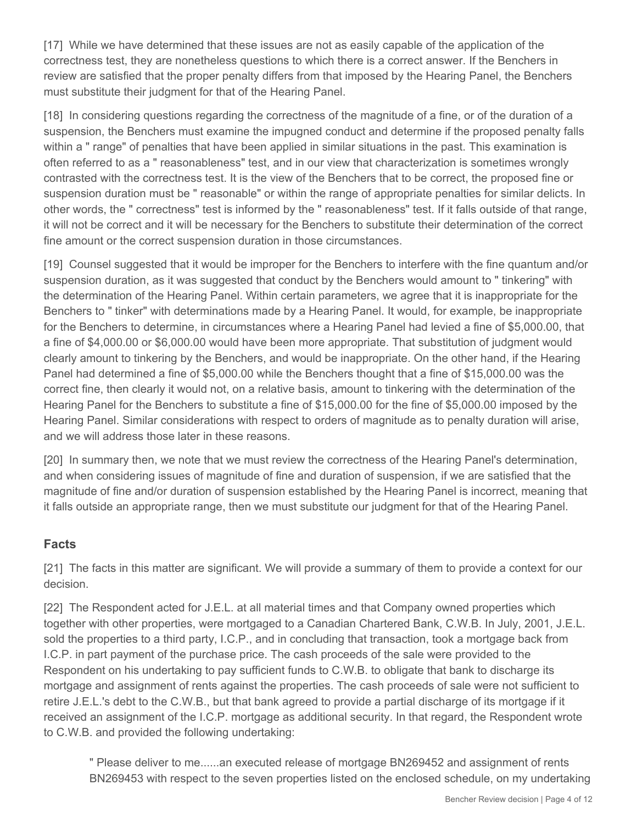[17] While we have determined that these issues are not as easily capable of the application of the correctness test, they are nonetheless questions to which there is a correct answer. If the Benchers in review are satisfied that the proper penalty differs from that imposed by the Hearing Panel, the Benchers must substitute their judgment for that of the Hearing Panel.

[18] In considering questions regarding the correctness of the magnitude of a fine, or of the duration of a suspension, the Benchers must examine the impugned conduct and determine if the proposed penalty falls within a " range" of penalties that have been applied in similar situations in the past. This examination is often referred to as a " reasonableness" test, and in our view that characterization is sometimes wrongly contrasted with the correctness test. It is the view of the Benchers that to be correct, the proposed fine or suspension duration must be " reasonable" or within the range of appropriate penalties for similar delicts. In other words, the " correctness" test is informed by the " reasonableness" test. If it falls outside of that range, it will not be correct and it will be necessary for the Benchers to substitute their determination of the correct fine amount or the correct suspension duration in those circumstances.

[19] Counsel suggested that it would be improper for the Benchers to interfere with the fine quantum and/or suspension duration, as it was suggested that conduct by the Benchers would amount to " tinkering" with the determination of the Hearing Panel. Within certain parameters, we agree that it is inappropriate for the Benchers to " tinker" with determinations made by a Hearing Panel. It would, for example, be inappropriate for the Benchers to determine, in circumstances where a Hearing Panel had levied a fine of \$5,000.00, that a fine of \$4,000.00 or \$6,000.00 would have been more appropriate. That substitution of judgment would clearly amount to tinkering by the Benchers, and would be inappropriate. On the other hand, if the Hearing Panel had determined a fine of \$5,000.00 while the Benchers thought that a fine of \$15,000.00 was the correct fine, then clearly it would not, on a relative basis, amount to tinkering with the determination of the Hearing Panel for the Benchers to substitute a fine of \$15,000.00 for the fine of \$5,000.00 imposed by the Hearing Panel. Similar considerations with respect to orders of magnitude as to penalty duration will arise, and we will address those later in these reasons.

[20] In summary then, we note that we must review the correctness of the Hearing Panel's determination, and when considering issues of magnitude of fine and duration of suspension, if we are satisfied that the magnitude of fine and/or duration of suspension established by the Hearing Panel is incorrect, meaning that it falls outside an appropriate range, then we must substitute our judgment for that of the Hearing Panel.

### **Facts**

[21] The facts in this matter are significant. We will provide a summary of them to provide a context for our decision.

[22] The Respondent acted for J.E.L. at all material times and that Company owned properties which together with other properties, were mortgaged to a Canadian Chartered Bank, C.W.B. In July, 2001, J.E.L. sold the properties to a third party, I.C.P., and in concluding that transaction, took a mortgage back from I.C.P. in part payment of the purchase price. The cash proceeds of the sale were provided to the Respondent on his undertaking to pay sufficient funds to C.W.B. to obligate that bank to discharge its mortgage and assignment of rents against the properties. The cash proceeds of sale were not sufficient to retire J.E.L.'s debt to the C.W.B., but that bank agreed to provide a partial discharge of its mortgage if it received an assignment of the I.C.P. mortgage as additional security. In that regard, the Respondent wrote to C.W.B. and provided the following undertaking:

" Please deliver to me......an executed release of mortgage BN269452 and assignment of rents BN269453 with respect to the seven properties listed on the enclosed schedule, on my undertaking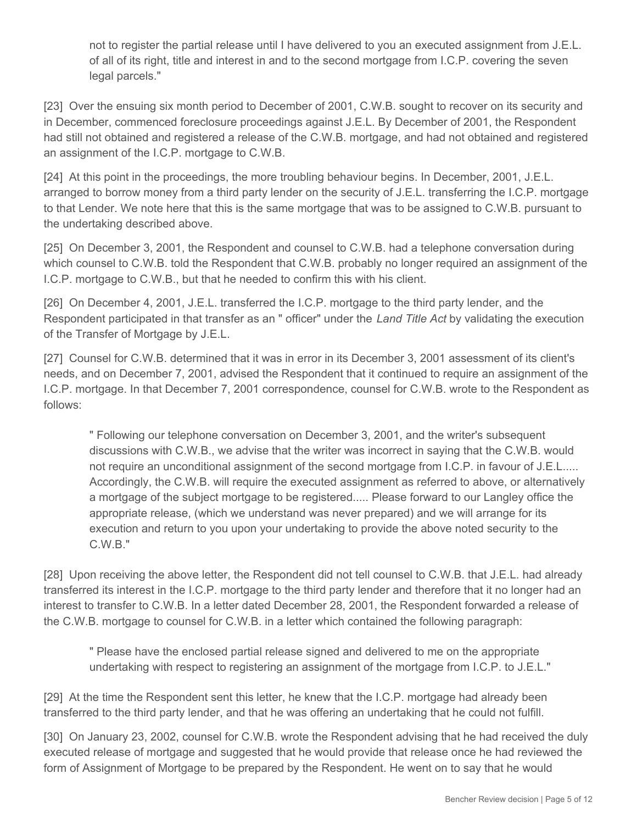not to register the partial release until I have delivered to you an executed assignment from J.E.L. of all of its right, title and interest in and to the second mortgage from I.C.P. covering the seven legal parcels."

[23] Over the ensuing six month period to December of 2001, C.W.B. sought to recover on its security and in December, commenced foreclosure proceedings against J.E.L. By December of 2001, the Respondent had still not obtained and registered a release of the C.W.B. mortgage, and had not obtained and registered an assignment of the I.C.P. mortgage to C.W.B.

[24] At this point in the proceedings, the more troubling behaviour begins. In December, 2001, J.E.L. arranged to borrow money from a third party lender on the security of J.E.L. transferring the I.C.P. mortgage to that Lender. We note here that this is the same mortgage that was to be assigned to C.W.B. pursuant to the undertaking described above.

[25] On December 3, 2001, the Respondent and counsel to C.W.B. had a telephone conversation during which counsel to C.W.B. told the Respondent that C.W.B. probably no longer required an assignment of the I.C.P. mortgage to C.W.B., but that he needed to confirm this with his client.

[26] On December 4, 2001, J.E.L. transferred the I.C.P. mortgage to the third party lender, and the Respondent participated in that transfer as an " officer" under the *Land Title Act* by validating the execution of the Transfer of Mortgage by J.E.L.

[27] Counsel for C.W.B. determined that it was in error in its December 3, 2001 assessment of its client's needs, and on December 7, 2001, advised the Respondent that it continued to require an assignment of the I.C.P. mortgage. In that December 7, 2001 correspondence, counsel for C.W.B. wrote to the Respondent as follows:

" Following our telephone conversation on December 3, 2001, and the writer's subsequent discussions with C.W.B., we advise that the writer was incorrect in saying that the C.W.B. would not require an unconditional assignment of the second mortgage from I.C.P. in favour of J.E.L..... Accordingly, the C.W.B. will require the executed assignment as referred to above, or alternatively a mortgage of the subject mortgage to be registered..... Please forward to our Langley office the appropriate release, (which we understand was never prepared) and we will arrange for its execution and return to you upon your undertaking to provide the above noted security to the C.W.B."

[28] Upon receiving the above letter, the Respondent did not tell counsel to C.W.B. that J.E.L. had already transferred its interest in the I.C.P. mortgage to the third party lender and therefore that it no longer had an interest to transfer to C.W.B. In a letter dated December 28, 2001, the Respondent forwarded a release of the C.W.B. mortgage to counsel for C.W.B. in a letter which contained the following paragraph:

" Please have the enclosed partial release signed and delivered to me on the appropriate undertaking with respect to registering an assignment of the mortgage from I.C.P. to J.E.L."

[29] At the time the Respondent sent this letter, he knew that the I.C.P. mortgage had already been transferred to the third party lender, and that he was offering an undertaking that he could not fulfill.

[30] On January 23, 2002, counsel for C.W.B. wrote the Respondent advising that he had received the duly executed release of mortgage and suggested that he would provide that release once he had reviewed the form of Assignment of Mortgage to be prepared by the Respondent. He went on to say that he would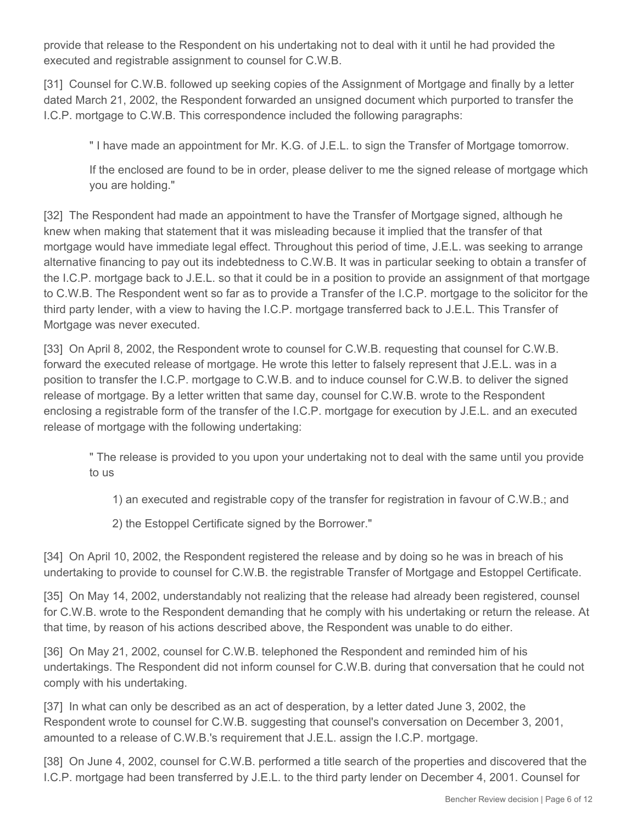provide that release to the Respondent on his undertaking not to deal with it until he had provided the executed and registrable assignment to counsel for C.W.B.

[31] Counsel for C.W.B. followed up seeking copies of the Assignment of Mortgage and finally by a letter dated March 21, 2002, the Respondent forwarded an unsigned document which purported to transfer the I.C.P. mortgage to C.W.B. This correspondence included the following paragraphs:

" I have made an appointment for Mr. K.G. of J.E.L. to sign the Transfer of Mortgage tomorrow.

If the enclosed are found to be in order, please deliver to me the signed release of mortgage which you are holding."

[32] The Respondent had made an appointment to have the Transfer of Mortgage signed, although he knew when making that statement that it was misleading because it implied that the transfer of that mortgage would have immediate legal effect. Throughout this period of time, J.E.L. was seeking to arrange alternative financing to pay out its indebtedness to C.W.B. It was in particular seeking to obtain a transfer of the I.C.P. mortgage back to J.E.L. so that it could be in a position to provide an assignment of that mortgage to C.W.B. The Respondent went so far as to provide a Transfer of the I.C.P. mortgage to the solicitor for the third party lender, with a view to having the I.C.P. mortgage transferred back to J.E.L. This Transfer of Mortgage was never executed.

[33] On April 8, 2002, the Respondent wrote to counsel for C.W.B. requesting that counsel for C.W.B. forward the executed release of mortgage. He wrote this letter to falsely represent that J.E.L. was in a position to transfer the I.C.P. mortgage to C.W.B. and to induce counsel for C.W.B. to deliver the signed release of mortgage. By a letter written that same day, counsel for C.W.B. wrote to the Respondent enclosing a registrable form of the transfer of the I.C.P. mortgage for execution by J.E.L. and an executed release of mortgage with the following undertaking:

" The release is provided to you upon your undertaking not to deal with the same until you provide to us

1) an executed and registrable copy of the transfer for registration in favour of C.W.B.; and

2) the Estoppel Certificate signed by the Borrower."

[34] On April 10, 2002, the Respondent registered the release and by doing so he was in breach of his undertaking to provide to counsel for C.W.B. the registrable Transfer of Mortgage and Estoppel Certificate.

[35] On May 14, 2002, understandably not realizing that the release had already been registered, counsel for C.W.B. wrote to the Respondent demanding that he comply with his undertaking or return the release. At that time, by reason of his actions described above, the Respondent was unable to do either.

[36] On May 21, 2002, counsel for C.W.B. telephoned the Respondent and reminded him of his undertakings. The Respondent did not inform counsel for C.W.B. during that conversation that he could not comply with his undertaking.

[37] In what can only be described as an act of desperation, by a letter dated June 3, 2002, the Respondent wrote to counsel for C.W.B. suggesting that counsel's conversation on December 3, 2001, amounted to a release of C.W.B.'s requirement that J.E.L. assign the I.C.P. mortgage.

[38] On June 4, 2002, counsel for C.W.B. performed a title search of the properties and discovered that the I.C.P. mortgage had been transferred by J.E.L. to the third party lender on December 4, 2001. Counsel for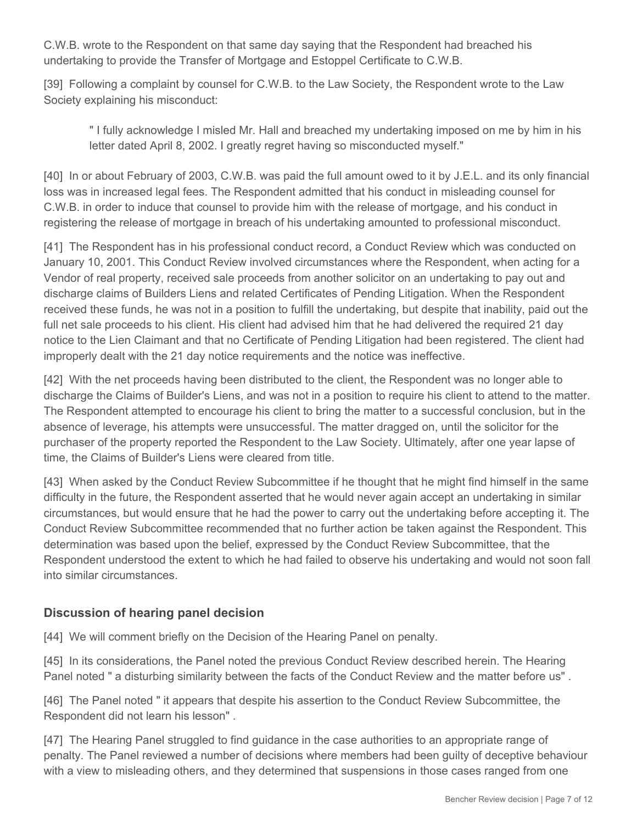C.W.B. wrote to the Respondent on that same day saying that the Respondent had breached his undertaking to provide the Transfer of Mortgage and Estoppel Certificate to C.W.B.

[39] Following a complaint by counsel for C.W.B. to the Law Society, the Respondent wrote to the Law Society explaining his misconduct:

" I fully acknowledge I misled Mr. Hall and breached my undertaking imposed on me by him in his letter dated April 8, 2002. I greatly regret having so misconducted myself."

[40] In or about February of 2003, C.W.B. was paid the full amount owed to it by J.E.L. and its only financial loss was in increased legal fees. The Respondent admitted that his conduct in misleading counsel for C.W.B. in order to induce that counsel to provide him with the release of mortgage, and his conduct in registering the release of mortgage in breach of his undertaking amounted to professional misconduct.

[41] The Respondent has in his professional conduct record, a Conduct Review which was conducted on January 10, 2001. This Conduct Review involved circumstances where the Respondent, when acting for a Vendor of real property, received sale proceeds from another solicitor on an undertaking to pay out and discharge claims of Builders Liens and related Certificates of Pending Litigation. When the Respondent received these funds, he was not in a position to fulfill the undertaking, but despite that inability, paid out the full net sale proceeds to his client. His client had advised him that he had delivered the required 21 day notice to the Lien Claimant and that no Certificate of Pending Litigation had been registered. The client had improperly dealt with the 21 day notice requirements and the notice was ineffective.

[42] With the net proceeds having been distributed to the client, the Respondent was no longer able to discharge the Claims of Builder's Liens, and was not in a position to require his client to attend to the matter. The Respondent attempted to encourage his client to bring the matter to a successful conclusion, but in the absence of leverage, his attempts were unsuccessful. The matter dragged on, until the solicitor for the purchaser of the property reported the Respondent to the Law Society. Ultimately, after one year lapse of time, the Claims of Builder's Liens were cleared from title.

[43] When asked by the Conduct Review Subcommittee if he thought that he might find himself in the same difficulty in the future, the Respondent asserted that he would never again accept an undertaking in similar circumstances, but would ensure that he had the power to carry out the undertaking before accepting it. The Conduct Review Subcommittee recommended that no further action be taken against the Respondent. This determination was based upon the belief, expressed by the Conduct Review Subcommittee, that the Respondent understood the extent to which he had failed to observe his undertaking and would not soon fall into similar circumstances.

# **Discussion of hearing panel decision**

[44] We will comment briefly on the Decision of the Hearing Panel on penalty.

[45] In its considerations, the Panel noted the previous Conduct Review described herein. The Hearing Panel noted " a disturbing similarity between the facts of the Conduct Review and the matter before us" .

[46] The Panel noted " it appears that despite his assertion to the Conduct Review Subcommittee, the Respondent did not learn his lesson" .

[47] The Hearing Panel struggled to find guidance in the case authorities to an appropriate range of penalty. The Panel reviewed a number of decisions where members had been guilty of deceptive behaviour with a view to misleading others, and they determined that suspensions in those cases ranged from one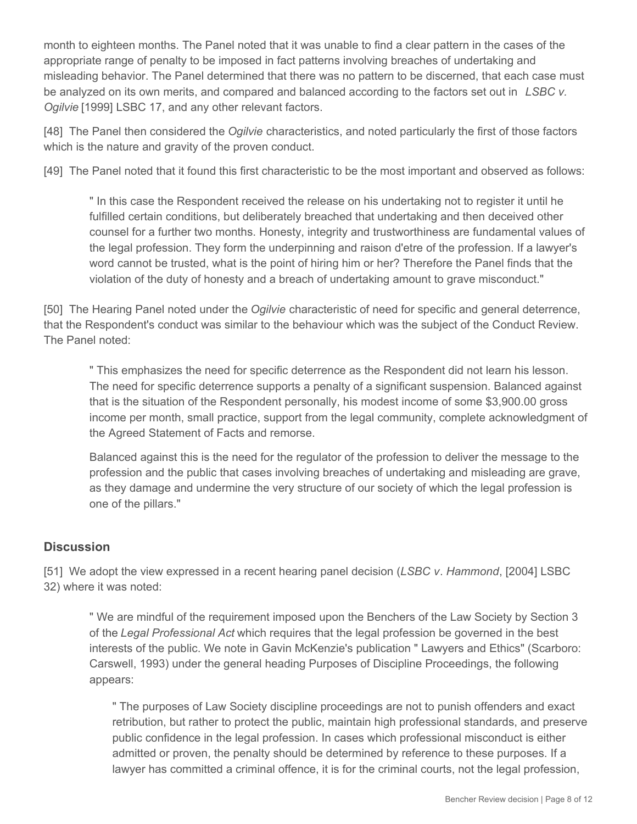month to eighteen months. The Panel noted that it was unable to find a clear pattern in the cases of the appropriate range of penalty to be imposed in fact patterns involving breaches of undertaking and misleading behavior. The Panel determined that there was no pattern to be discerned, that each case must be analyzed on its own merits, and compared and balanced according to the factors set out in *LSBC v. Ogilvie* [1999] LSBC 17, and any other relevant factors.

[48] The Panel then considered the *Ogilvie* characteristics, and noted particularly the first of those factors which is the nature and gravity of the proven conduct.

[49] The Panel noted that it found this first characteristic to be the most important and observed as follows:

" In this case the Respondent received the release on his undertaking not to register it until he fulfilled certain conditions, but deliberately breached that undertaking and then deceived other counsel for a further two months. Honesty, integrity and trustworthiness are fundamental values of the legal profession. They form the underpinning and raison d'etre of the profession. If a lawyer's word cannot be trusted, what is the point of hiring him or her? Therefore the Panel finds that the violation of the duty of honesty and a breach of undertaking amount to grave misconduct."

[50] The Hearing Panel noted under the *Ogilvie* characteristic of need for specific and general deterrence, that the Respondent's conduct was similar to the behaviour which was the subject of the Conduct Review. The Panel noted:

" This emphasizes the need for specific deterrence as the Respondent did not learn his lesson. The need for specific deterrence supports a penalty of a significant suspension. Balanced against that is the situation of the Respondent personally, his modest income of some \$3,900.00 gross income per month, small practice, support from the legal community, complete acknowledgment of the Agreed Statement of Facts and remorse.

Balanced against this is the need for the regulator of the profession to deliver the message to the profession and the public that cases involving breaches of undertaking and misleading are grave, as they damage and undermine the very structure of our society of which the legal profession is one of the pillars."

# **Discussion**

[51] We adopt the view expressed in a recent hearing panel decision (*LSBC v*. *Hammond*, [2004] LSBC 32) where it was noted:

" We are mindful of the requirement imposed upon the Benchers of the Law Society by Section 3 of the *Legal Professional Act* which requires that the legal profession be governed in the best interests of the public. We note in Gavin McKenzie's publication " Lawyers and Ethics" (Scarboro: Carswell, 1993) under the general heading Purposes of Discipline Proceedings, the following appears:

" The purposes of Law Society discipline proceedings are not to punish offenders and exact retribution, but rather to protect the public, maintain high professional standards, and preserve public confidence in the legal profession. In cases which professional misconduct is either admitted or proven, the penalty should be determined by reference to these purposes. If a lawyer has committed a criminal offence, it is for the criminal courts, not the legal profession,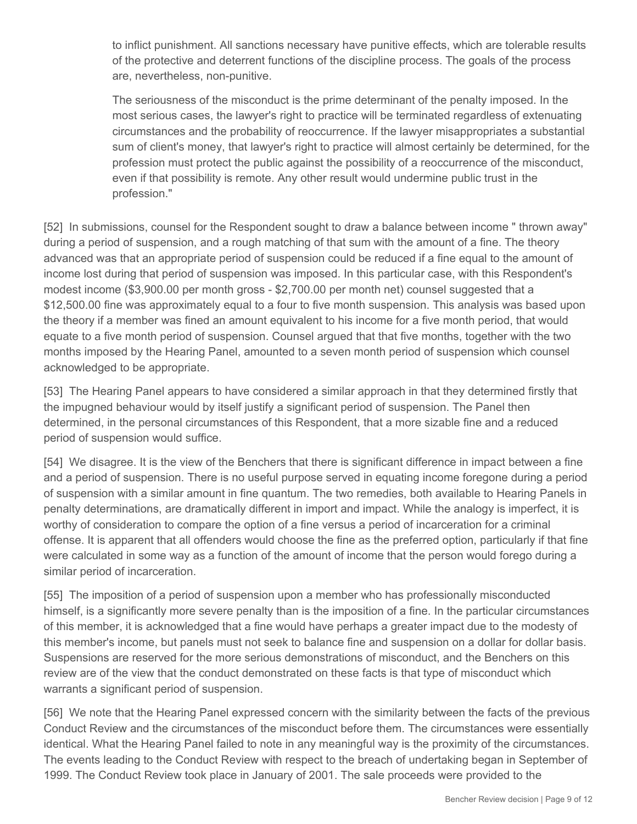to inflict punishment. All sanctions necessary have punitive effects, which are tolerable results of the protective and deterrent functions of the discipline process. The goals of the process are, nevertheless, non-punitive.

The seriousness of the misconduct is the prime determinant of the penalty imposed. In the most serious cases, the lawyer's right to practice will be terminated regardless of extenuating circumstances and the probability of reoccurrence. If the lawyer misappropriates a substantial sum of client's money, that lawyer's right to practice will almost certainly be determined, for the profession must protect the public against the possibility of a reoccurrence of the misconduct, even if that possibility is remote. Any other result would undermine public trust in the profession."

[52] In submissions, counsel for the Respondent sought to draw a balance between income " thrown away" during a period of suspension, and a rough matching of that sum with the amount of a fine. The theory advanced was that an appropriate period of suspension could be reduced if a fine equal to the amount of income lost during that period of suspension was imposed. In this particular case, with this Respondent's modest income (\$3,900.00 per month gross - \$2,700.00 per month net) counsel suggested that a \$12,500.00 fine was approximately equal to a four to five month suspension. This analysis was based upon the theory if a member was fined an amount equivalent to his income for a five month period, that would equate to a five month period of suspension. Counsel argued that that five months, together with the two months imposed by the Hearing Panel, amounted to a seven month period of suspension which counsel acknowledged to be appropriate.

[53] The Hearing Panel appears to have considered a similar approach in that they determined firstly that the impugned behaviour would by itself justify a significant period of suspension. The Panel then determined, in the personal circumstances of this Respondent, that a more sizable fine and a reduced period of suspension would suffice.

[54] We disagree. It is the view of the Benchers that there is significant difference in impact between a fine and a period of suspension. There is no useful purpose served in equating income foregone during a period of suspension with a similar amount in fine quantum. The two remedies, both available to Hearing Panels in penalty determinations, are dramatically different in import and impact. While the analogy is imperfect, it is worthy of consideration to compare the option of a fine versus a period of incarceration for a criminal offense. It is apparent that all offenders would choose the fine as the preferred option, particularly if that fine were calculated in some way as a function of the amount of income that the person would forego during a similar period of incarceration.

[55] The imposition of a period of suspension upon a member who has professionally misconducted himself, is a significantly more severe penalty than is the imposition of a fine. In the particular circumstances of this member, it is acknowledged that a fine would have perhaps a greater impact due to the modesty of this member's income, but panels must not seek to balance fine and suspension on a dollar for dollar basis. Suspensions are reserved for the more serious demonstrations of misconduct, and the Benchers on this review are of the view that the conduct demonstrated on these facts is that type of misconduct which warrants a significant period of suspension.

[56] We note that the Hearing Panel expressed concern with the similarity between the facts of the previous Conduct Review and the circumstances of the misconduct before them. The circumstances were essentially identical. What the Hearing Panel failed to note in any meaningful way is the proximity of the circumstances. The events leading to the Conduct Review with respect to the breach of undertaking began in September of 1999. The Conduct Review took place in January of 2001. The sale proceeds were provided to the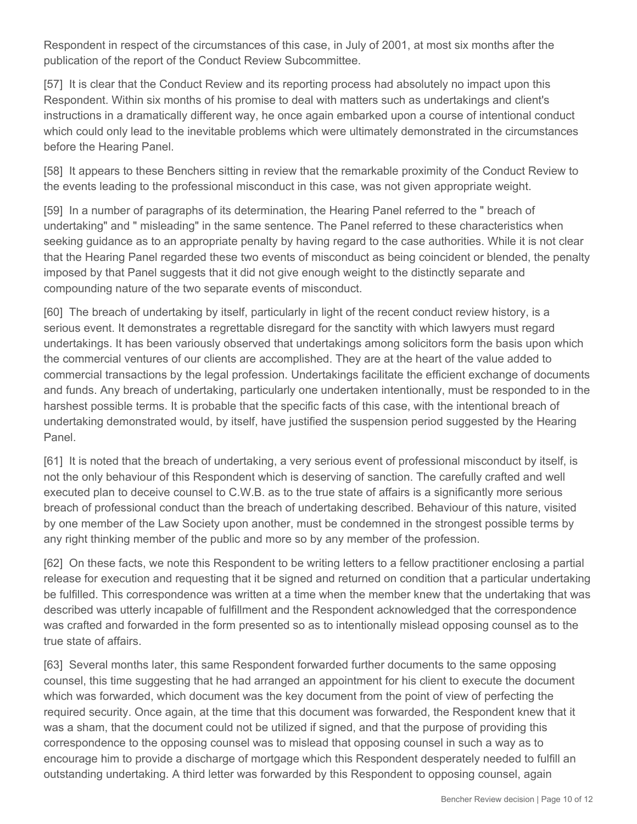Respondent in respect of the circumstances of this case, in July of 2001, at most six months after the publication of the report of the Conduct Review Subcommittee.

[57] It is clear that the Conduct Review and its reporting process had absolutely no impact upon this Respondent. Within six months of his promise to deal with matters such as undertakings and client's instructions in a dramatically different way, he once again embarked upon a course of intentional conduct which could only lead to the inevitable problems which were ultimately demonstrated in the circumstances before the Hearing Panel.

[58] It appears to these Benchers sitting in review that the remarkable proximity of the Conduct Review to the events leading to the professional misconduct in this case, was not given appropriate weight.

[59] In a number of paragraphs of its determination, the Hearing Panel referred to the " breach of undertaking" and " misleading" in the same sentence. The Panel referred to these characteristics when seeking guidance as to an appropriate penalty by having regard to the case authorities. While it is not clear that the Hearing Panel regarded these two events of misconduct as being coincident or blended, the penalty imposed by that Panel suggests that it did not give enough weight to the distinctly separate and compounding nature of the two separate events of misconduct.

[60] The breach of undertaking by itself, particularly in light of the recent conduct review history, is a serious event. It demonstrates a regrettable disregard for the sanctity with which lawyers must regard undertakings. It has been variously observed that undertakings among solicitors form the basis upon which the commercial ventures of our clients are accomplished. They are at the heart of the value added to commercial transactions by the legal profession. Undertakings facilitate the efficient exchange of documents and funds. Any breach of undertaking, particularly one undertaken intentionally, must be responded to in the harshest possible terms. It is probable that the specific facts of this case, with the intentional breach of undertaking demonstrated would, by itself, have justified the suspension period suggested by the Hearing Panel.

[61] It is noted that the breach of undertaking, a very serious event of professional misconduct by itself, is not the only behaviour of this Respondent which is deserving of sanction. The carefully crafted and well executed plan to deceive counsel to C.W.B. as to the true state of affairs is a significantly more serious breach of professional conduct than the breach of undertaking described. Behaviour of this nature, visited by one member of the Law Society upon another, must be condemned in the strongest possible terms by any right thinking member of the public and more so by any member of the profession.

[62] On these facts, we note this Respondent to be writing letters to a fellow practitioner enclosing a partial release for execution and requesting that it be signed and returned on condition that a particular undertaking be fulfilled. This correspondence was written at a time when the member knew that the undertaking that was described was utterly incapable of fulfillment and the Respondent acknowledged that the correspondence was crafted and forwarded in the form presented so as to intentionally mislead opposing counsel as to the true state of affairs.

[63] Several months later, this same Respondent forwarded further documents to the same opposing counsel, this time suggesting that he had arranged an appointment for his client to execute the document which was forwarded, which document was the key document from the point of view of perfecting the required security. Once again, at the time that this document was forwarded, the Respondent knew that it was a sham, that the document could not be utilized if signed, and that the purpose of providing this correspondence to the opposing counsel was to mislead that opposing counsel in such a way as to encourage him to provide a discharge of mortgage which this Respondent desperately needed to fulfill an outstanding undertaking. A third letter was forwarded by this Respondent to opposing counsel, again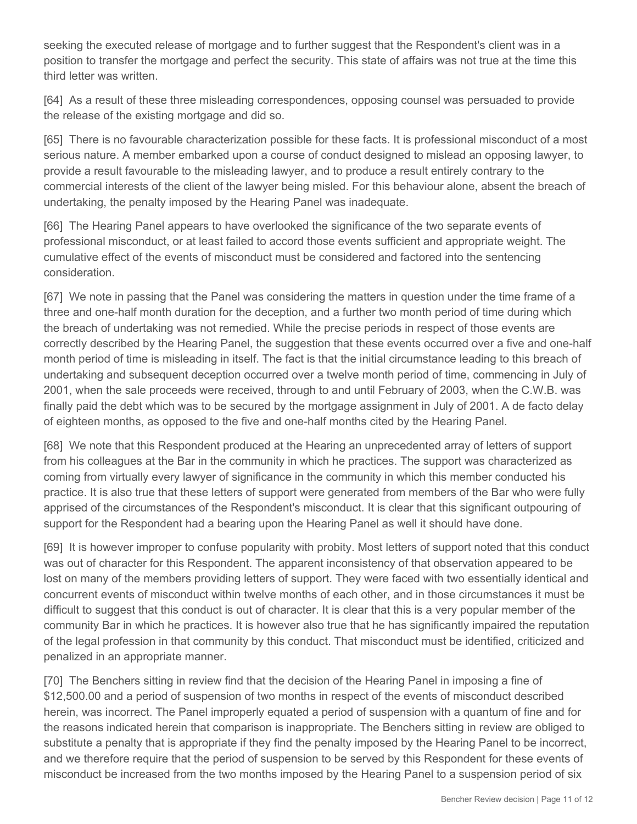seeking the executed release of mortgage and to further suggest that the Respondent's client was in a position to transfer the mortgage and perfect the security. This state of affairs was not true at the time this third letter was written.

[64] As a result of these three misleading correspondences, opposing counsel was persuaded to provide the release of the existing mortgage and did so.

[65] There is no favourable characterization possible for these facts. It is professional misconduct of a most serious nature. A member embarked upon a course of conduct designed to mislead an opposing lawyer, to provide a result favourable to the misleading lawyer, and to produce a result entirely contrary to the commercial interests of the client of the lawyer being misled. For this behaviour alone, absent the breach of undertaking, the penalty imposed by the Hearing Panel was inadequate.

[66] The Hearing Panel appears to have overlooked the significance of the two separate events of professional misconduct, or at least failed to accord those events sufficient and appropriate weight. The cumulative effect of the events of misconduct must be considered and factored into the sentencing consideration.

[67] We note in passing that the Panel was considering the matters in question under the time frame of a three and one-half month duration for the deception, and a further two month period of time during which the breach of undertaking was not remedied. While the precise periods in respect of those events are correctly described by the Hearing Panel, the suggestion that these events occurred over a five and one-half month period of time is misleading in itself. The fact is that the initial circumstance leading to this breach of undertaking and subsequent deception occurred over a twelve month period of time, commencing in July of 2001, when the sale proceeds were received, through to and until February of 2003, when the C.W.B. was finally paid the debt which was to be secured by the mortgage assignment in July of 2001. A de facto delay of eighteen months, as opposed to the five and one-half months cited by the Hearing Panel.

[68] We note that this Respondent produced at the Hearing an unprecedented array of letters of support from his colleagues at the Bar in the community in which he practices. The support was characterized as coming from virtually every lawyer of significance in the community in which this member conducted his practice. It is also true that these letters of support were generated from members of the Bar who were fully apprised of the circumstances of the Respondent's misconduct. It is clear that this significant outpouring of support for the Respondent had a bearing upon the Hearing Panel as well it should have done.

[69] It is however improper to confuse popularity with probity. Most letters of support noted that this conduct was out of character for this Respondent. The apparent inconsistency of that observation appeared to be lost on many of the members providing letters of support. They were faced with two essentially identical and concurrent events of misconduct within twelve months of each other, and in those circumstances it must be difficult to suggest that this conduct is out of character. It is clear that this is a very popular member of the community Bar in which he practices. It is however also true that he has significantly impaired the reputation of the legal profession in that community by this conduct. That misconduct must be identified, criticized and penalized in an appropriate manner.

[70] The Benchers sitting in review find that the decision of the Hearing Panel in imposing a fine of \$12,500.00 and a period of suspension of two months in respect of the events of misconduct described herein, was incorrect. The Panel improperly equated a period of suspension with a quantum of fine and for the reasons indicated herein that comparison is inappropriate. The Benchers sitting in review are obliged to substitute a penalty that is appropriate if they find the penalty imposed by the Hearing Panel to be incorrect, and we therefore require that the period of suspension to be served by this Respondent for these events of misconduct be increased from the two months imposed by the Hearing Panel to a suspension period of six